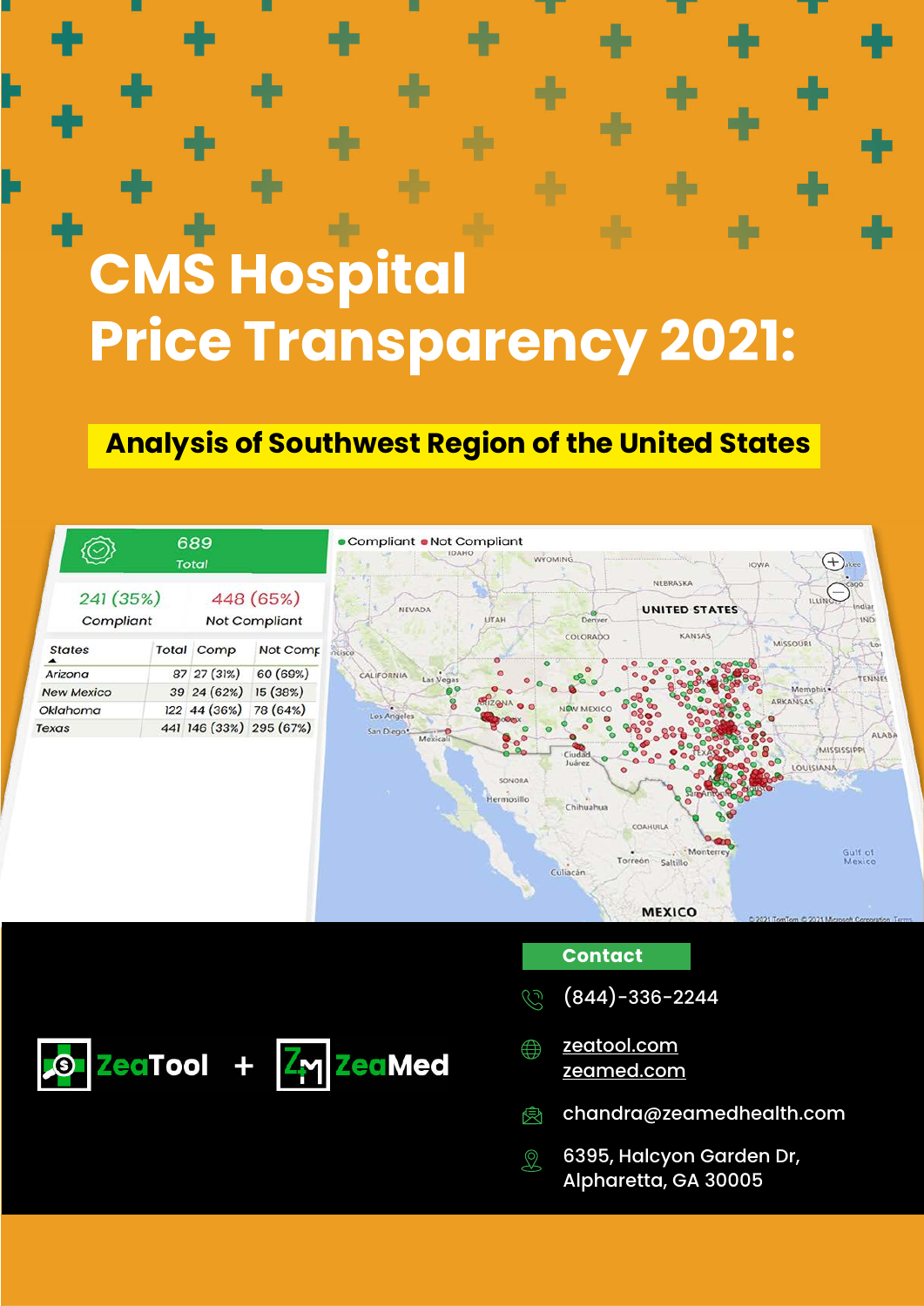# **CMS Hospital Price Transparency 2021:**

#### **Analysis of Southwest Region of the United States**





#### **Contact**

- (844)-336-2244
- [zeatool.com](https://zeatool.com) ⇔ [zeamed.com](https://zeamed.com)
- chandra@zeamedhealth.com 恖
- 6395, Halcyon Garden Dr,  $\mathcal{Q}$ Alpharetta, GA 30005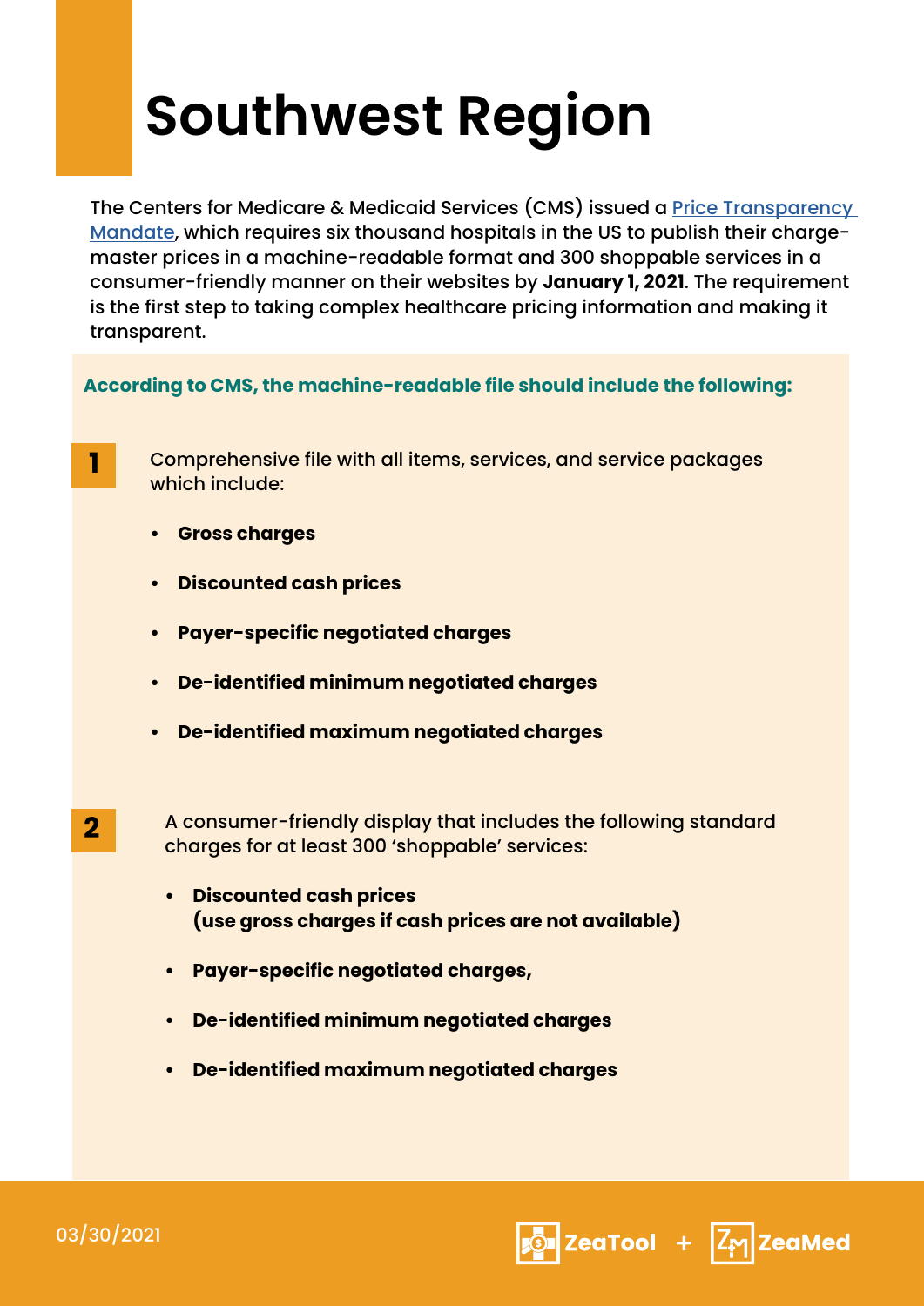## **Southwest Region**

The Centers for Medicare & Medicaid Services (CMS) issued a <u>Price Transparency</u> [Mandate,](https://www.cms.gov/files/document/2019-12-03-hospital-presentation.pdf) which requires six thousand hospitals in the US to publish their chargemaster prices in a machine-readable format and 300 shoppable services in a consumer-friendly manner on their websites by **January 1, 2021**. The requirement is the first step to taking complex healthcare pricing information and making it transparent.

**According to CMS, the [machine-readable file](https://www.cms.gov/files/document/steps-machine-readable-file.pdf) should include the following:**

 **1**

Comprehensive file with all items, services, and service packages which include:

- **• Gross charges**
- **• Discounted cash prices**
- **• Payer-specific negotiated charges**
- **• De-identified minimum negotiated charges**
- **• De-identified maximum negotiated charges**

A consumer-friendly display that includes the following standard charges for at least 300 'shoppable' services:

- **• Discounted cash prices (use gross charges if cash prices are not available)**
- **• Payer-specific negotiated charges,**
- **• De-identified minimum negotiated charges**
- **• De-identified maximum negotiated charges**





### **2**

03/30/2021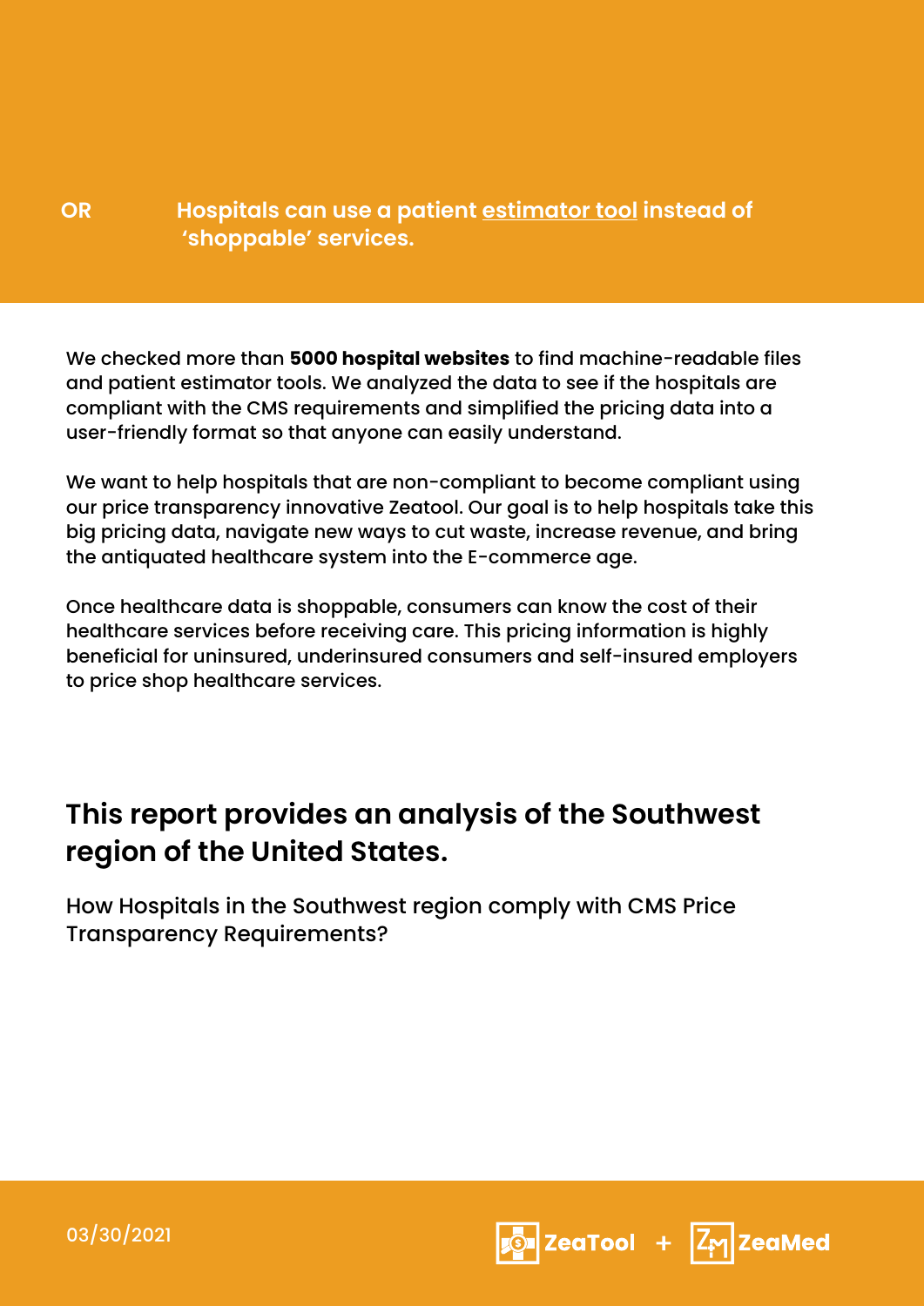**Hospitals can use a patient [estimator tool](https://zeatool.com/proLanding) instead of 'shoppable' services. OR**

We checked more than **5000 hospital websites** to find machine-readable files and patient estimator tools. We analyzed the data to see if the hospitals are compliant with the CMS requirements and simplified the pricing data into a user-friendly format so that anyone can easily understand.

big pricing data, navigate new ways to cut waste, increase revenue, and bring We want to help hospitals that are non-compliant to become compliant using our price transparency innovative Zeatool. Our goal is to help hospitals take this the antiquated healthcare system into the E-commerce age.

Once healthcare data is shoppable, consumers can know the cost of their healthcare services before receiving care. This pricing information is highly beneficial for uninsured, underinsured consumers and self-insured employers to price shop healthcare services.

### **This report provides an analysis of the Southwest region of the United States.**

How Hospitals in the Southwest region comply with CMS Price Transparency Requirements?

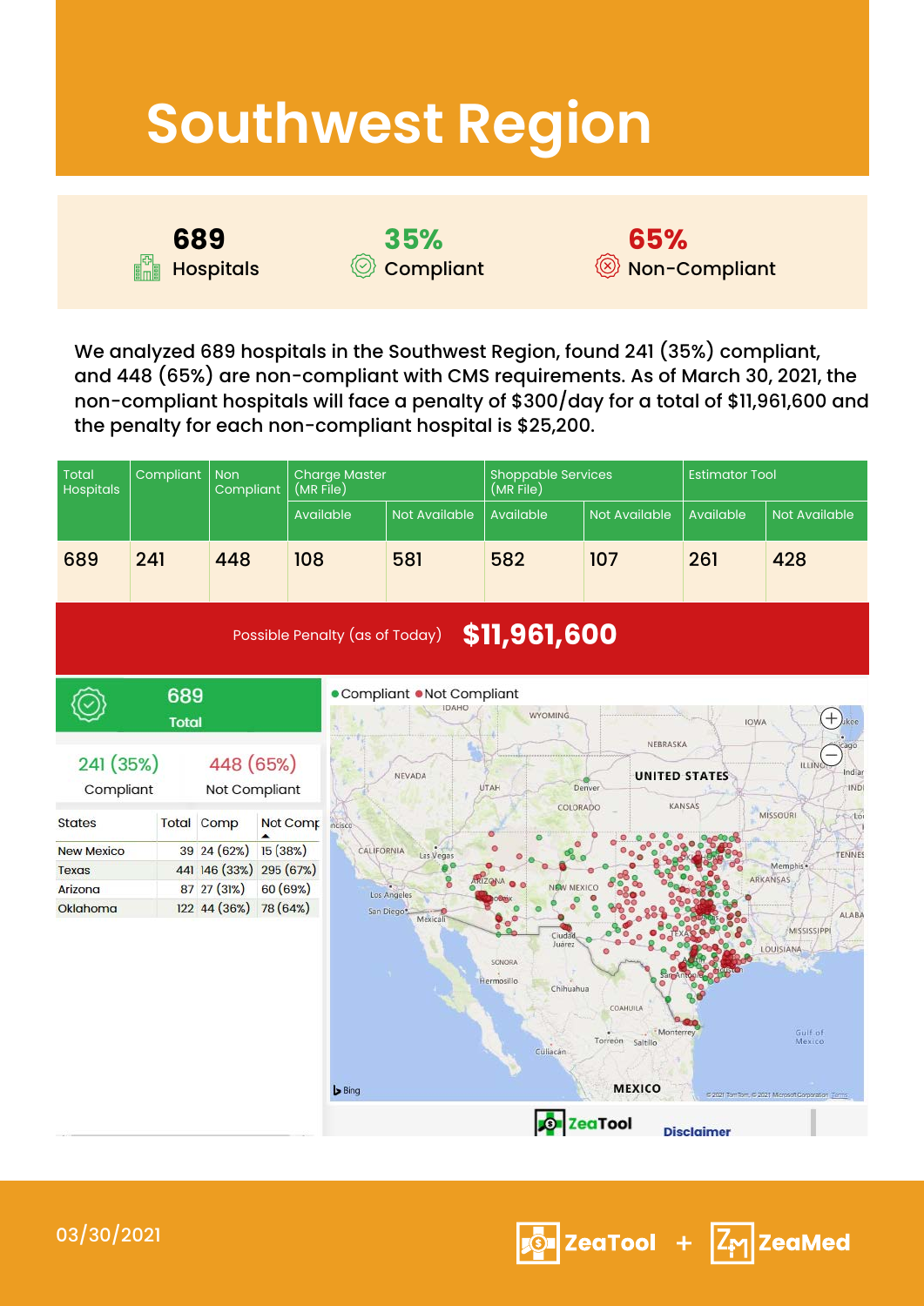## **Southwest Region**

| 689                  |
|----------------------|
| <b>THE Hospitals</b> |

**689 35% 65%**

 $\circledR$  Non-Compliant

We analyzed 689 hospitals in the Southwest Region, found 241 (35%) compliant, and 448 (65%) are non-compliant with CMS requirements. As of March 30, 2021, the non-compliant hospitals will face a penalty of \$300/day for a total of \$11,961,600 and the penalty for each non-compliant hospital is \$25,200.

| <b>Total</b><br><b>Hospitals</b> | Compliant<br><b>Non</b><br>Compliant |                            | <b>Charge Master</b><br>(MR File) |                                | <b>Shoppable Services</b><br>(MR File)                    |                                                                          | <b>Estimator Tool</b>                        |                   |                                                               |  |
|----------------------------------|--------------------------------------|----------------------------|-----------------------------------|--------------------------------|-----------------------------------------------------------|--------------------------------------------------------------------------|----------------------------------------------|-------------------|---------------------------------------------------------------|--|
|                                  |                                      |                            |                                   | Available                      | <b>Not Available</b>                                      | Available                                                                | Not Available                                | <b>Available</b>  | <b>Not Available</b>                                          |  |
| 689                              | 241                                  | 448                        | 108                               |                                | 581                                                       | 582                                                                      | 107                                          | 261               | 428                                                           |  |
|                                  |                                      |                            |                                   | Possible Penalty (as of Today) |                                                           | \$11,961,600                                                             |                                              |                   |                                                               |  |
|                                  | 689<br><b>Total</b>                  |                            |                                   |                                | ● Compliant ● Not Compliant<br><b>IDAHO</b>               | WYOMING.                                                                 | NEBRASKA                                     | <b>IOWA</b>       | $^+$<br>ukee:<br>age                                          |  |
| 241 (35%)<br>Compliant           |                                      | 448 (65%)<br>Not Compliant |                                   |                                | ILLIN<br>NEVADA<br><b>UNITED STATES</b><br>UTAH<br>Denver |                                                                          |                                              |                   |                                                               |  |
| <b>States</b>                    |                                      | <b>Total Comp</b>          | Not Comp                          | ncisco                         |                                                           | COLORADO                                                                 |                                              | <b>KANSAS</b>     | MISSOURI<br>$-16$                                             |  |
| <b>New Mexico</b>                |                                      | 39 24 (62%)                | 15 (38%)                          | CALIFORNIA                     | Las Vegas                                                 |                                                                          |                                              |                   | <b>TENNES</b>                                                 |  |
| <b>Texas</b>                     |                                      |                            | 441 146 (33%) 295 (67%)           |                                |                                                           |                                                                          |                                              |                   | Memphis*<br><b>ARKANSAS</b>                                   |  |
| Arizona                          |                                      | 87 27 (31%)                | 60 (69%)                          |                                | Los Angeles                                               |                                                                          |                                              |                   |                                                               |  |
| Oklahoma                         |                                      | 122 44 (36%)               | 78 (64%)                          |                                | San Diego*<br>Mexicali                                    | Ciudad<br>Juárez<br><b>SONORA</b><br>Hermosillo<br>Chihuahua<br>Cullacán | COAHUILA<br>Monterrey<br>Torreon<br>Saltillo |                   | <b>ALABA</b><br>MISSISSIPPI<br>LOUISIANA<br>Gulf of<br>Mexico |  |
|                                  |                                      |                            |                                   | <b>Bing</b>                    |                                                           | Jo                                                                       | <b>MEXICO</b><br>ZeaTool                     | <b>Disclaimer</b> | C 2021 TomTom, C 2021 Microsoft Corporation To                |  |

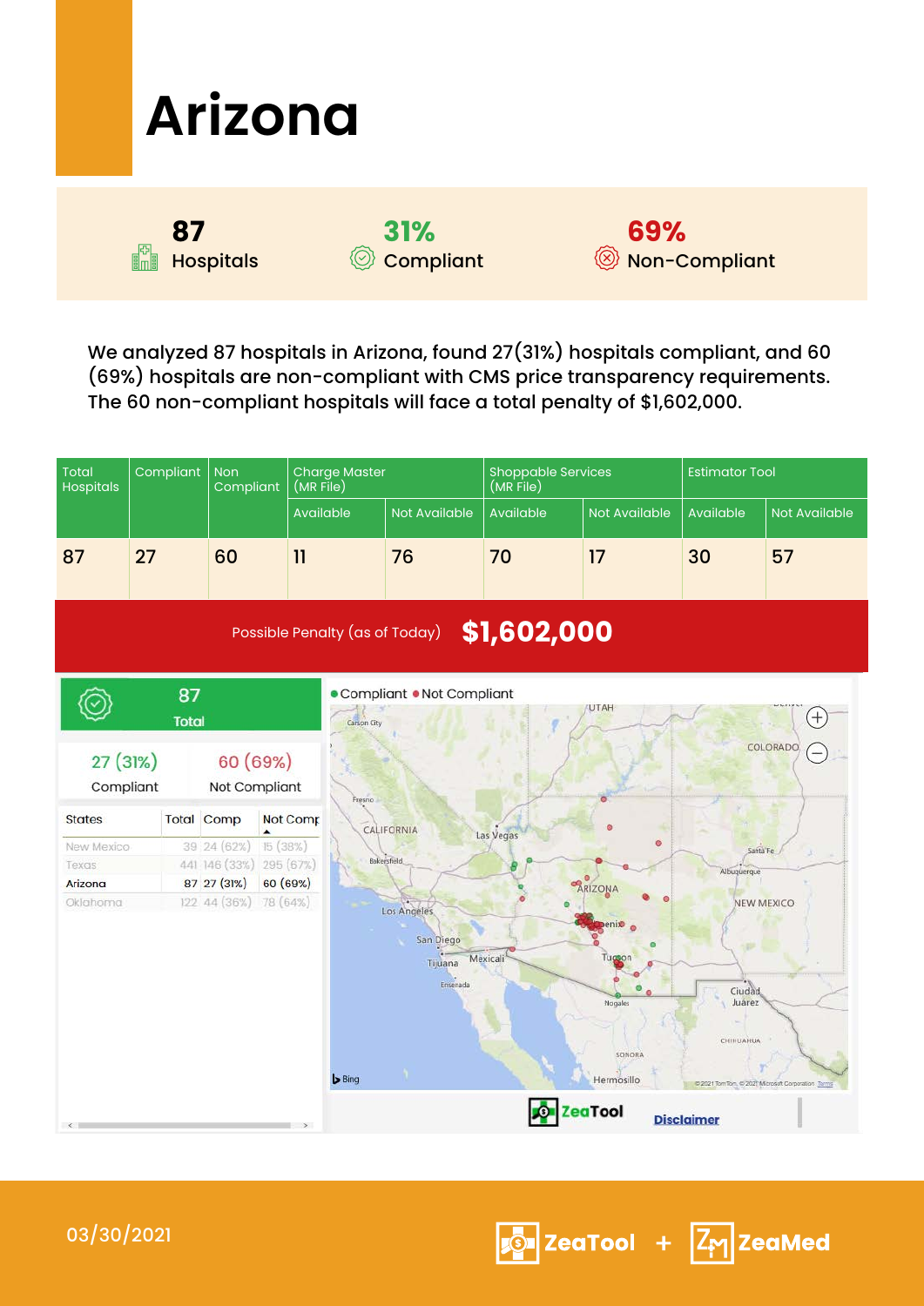

We analyzed 87 hospitals in Arizona, found 27(31%) hospitals compliant, and 60 (69%) hospitals are non-compliant with CMS price transparency requirements. The 60 non-compliant hospitals will face a total penalty of \$1,602,000.

| <b>Total</b><br><b>Hospitals</b> | Compliant          | <b>Charge Master</b><br>Non<br>Compliant<br>(MR File) |                              |                                |                             | <b>Shoppable Services</b><br>(MR File) |                      | <b>Estimator Tool</b>                        |                      |
|----------------------------------|--------------------|-------------------------------------------------------|------------------------------|--------------------------------|-----------------------------|----------------------------------------|----------------------|----------------------------------------------|----------------------|
|                                  |                    |                                                       |                              | Available                      | <b>Not Available</b>        | Available                              | <b>Not Available</b> | Available                                    | <b>Not Available</b> |
| 87                               | 27                 | 60                                                    | $\overline{1}$               |                                | 76                          | 70                                     | 17                   | 30                                           | 57                   |
|                                  |                    |                                                       |                              | Possible Penalty (as of Today) |                             | \$1,602,000                            |                      |                                              |                      |
|                                  | 87<br><b>Total</b> |                                                       |                              | Carson City                    | • Compliant • Not Compliant |                                        | UTAH                 |                                              | $^{+}$<br>COLORADO   |
| 27(31%)<br>Compliant             |                    | 60 (69%)<br>Not Compliant                             |                              | Fresno                         |                             |                                        |                      |                                              | Ξ                    |
| <b>States</b>                    | <b>Total Comp</b>  |                                                       | Not Comp<br>$\blacktriangle$ |                                | CALIFORNIA                  |                                        |                      |                                              |                      |
| New Mexico                       |                    | 39 24 (62%)                                           | 15 (38%)                     |                                |                             | Las Vegas                              | ۰                    | Santa Fe                                     |                      |
| Texas                            |                    |                                                       | 441 146 (33%) 295 (67%)      |                                | Bakersfield                 |                                        |                      | Albuquerque                                  |                      |
| Arizona                          |                    | 87 27 (31%)                                           | 60 (69%)                     |                                |                             |                                        | ARIZONA              |                                              |                      |
| Oklahoma                         |                    | 122 44 (36%)                                          | 78 (64%)                     |                                | Los Angeles                 |                                        | enix                 | NEW MEXICO                                   |                      |
|                                  |                    |                                                       |                              |                                | San Diego                   | Mexicali                               |                      |                                              |                      |
|                                  |                    |                                                       |                              |                                | Tijuana<br>Ensenada         |                                        |                      |                                              |                      |
|                                  |                    |                                                       |                              |                                |                             |                                        | Nogales              | Ciudad,<br>Juárez                            |                      |
|                                  |                    |                                                       |                              |                                |                             |                                        |                      |                                              |                      |
|                                  |                    |                                                       |                              |                                |                             |                                        | SONORA               | <b>CHIHUAHUA</b>                             |                      |
|                                  |                    |                                                       |                              | $\mathsf{Bing}$                | n.                          |                                        | Hermosillo           | D2021 TomTom, C 2021 Mcrosoft Corporation To |                      |
|                                  |                    |                                                       |                              |                                |                             |                                        | ZeaTool              | <b>Disclaimer</b>                            |                      |



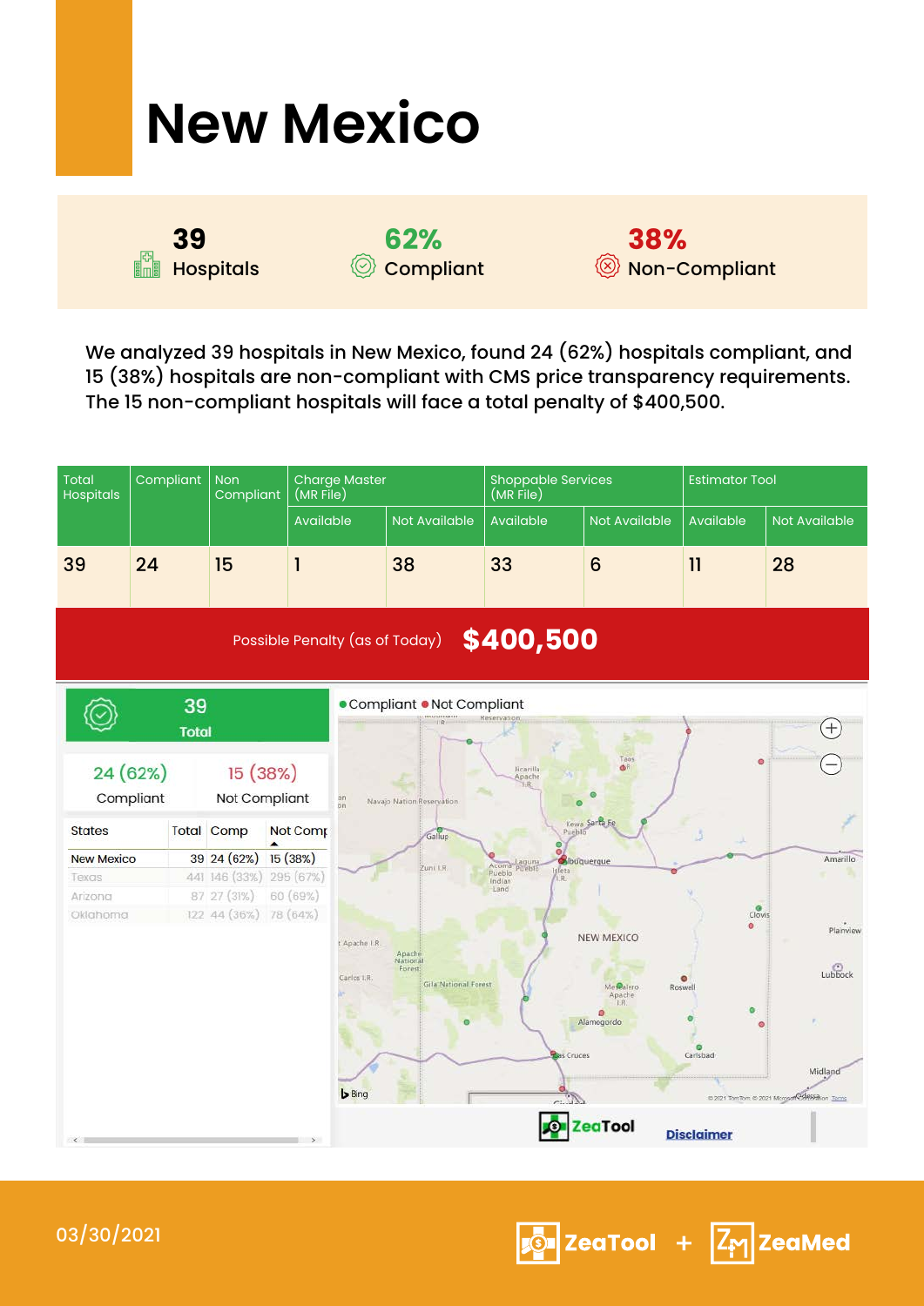| <b>New Mexico</b>      |                    |                      |  |  |  |  |  |  |
|------------------------|--------------------|----------------------|--|--|--|--|--|--|
| 39<br><b>Hospitals</b> | 62%<br>© Compliant | 38%<br>Non-Compliant |  |  |  |  |  |  |

We analyzed 39 hospitals in New Mexico, found 24 (62%) hospitals compliant, and 15 (38%) hospitals are non-compliant with CMS price transparency requirements. The 15 non-compliant hospitals will face a total penalty of \$400,500.

| <b>Total</b><br><b>Hospitals</b> | Compliant<br><b>Charge Master</b><br><b>Non</b><br>(MR File)<br>Compliant |                           |               |               |                                          | <b>Shoppable Services</b><br>(MR File) |                         | <b>Estimator Tool</b>   |                                         |
|----------------------------------|---------------------------------------------------------------------------|---------------------------|---------------|---------------|------------------------------------------|----------------------------------------|-------------------------|-------------------------|-----------------------------------------|
|                                  |                                                                           |                           | Available     |               | Not Available                            | Available                              | Not Available           | Available               | <b>Not Available</b>                    |
| 39                               | 24                                                                        | 15                        |               |               | 38                                       | 33                                     | 6                       | $\overline{\mathbf{1}}$ | 28                                      |
|                                  |                                                                           |                           |               |               | Possible Penalty (as of Today) \$400,500 |                                        |                         |                         |                                         |
|                                  | 39<br><b>Total</b>                                                        |                           |               |               | • Compliant • Not Compliant              |                                        |                         |                         | $+$                                     |
|                                  | 24 (62%)<br>Compliant                                                     | 15 (38%)<br>Not Compliant |               | an<br>bn      | Navajo Nation Reservation                | <b>H</b> carilla<br>Apache             | Taos<br><b>OR</b>       | ø                       |                                         |
| <b>States</b>                    |                                                                           | <b>Total Comp</b>         | Not Comp<br>▲ |               | Gallup                                   |                                        | Kewa Santa Fe<br>Pueblo |                         |                                         |
| <b>New Mexico</b>                |                                                                           | 39 24 (62%)               | 15 (38%)      |               |                                          |                                        | buquerque               |                         | Amarillo                                |
| Texas                            |                                                                           | 441 146 (33%)             | 295 (67%)     |               | Zuni I.R                                 | Acoma Pueblo<br>Isleta<br>Indian       |                         |                         |                                         |
| Arizona                          |                                                                           | 87 27 (31%)               | 60 (69%)      |               |                                          | Land                                   |                         |                         |                                         |
| Oklahoma                         |                                                                           | 122 44 (36%)              | 78 (64%)      |               |                                          |                                        |                         | G<br>Clovis             |                                         |
|                                  |                                                                           |                           |               |               |                                          |                                        | NEW MEXICO              | $\bullet$               | Plainview                               |
|                                  |                                                                           |                           |               | t Apache LR.  | Apaché<br>National                       |                                        |                         |                         |                                         |
|                                  |                                                                           |                           |               | Carlos LR.    | Forest:                                  |                                        |                         | $\bullet$               | Lubbock                                 |
|                                  |                                                                           |                           |               |               | <b>Gila National Forest</b>              |                                        | Me Calero.<br>Apache    | Roswell                 |                                         |
|                                  |                                                                           |                           |               |               |                                          |                                        | LR.<br>O                | ۰                       |                                         |
|                                  |                                                                           |                           |               |               |                                          |                                        | Alamogordo              | ö                       |                                         |
|                                  |                                                                           |                           |               |               |                                          |                                        | <b>Bas Cruces</b>       | Carlsbad                |                                         |
|                                  |                                                                           |                           |               |               |                                          |                                        |                         |                         | Midland                                 |
|                                  |                                                                           |                           |               | <b>b</b> Bing |                                          |                                        |                         |                         | 02021 TomTom, 02021 Morgan Consent Term |
|                                  |                                                                           |                           |               |               |                                          |                                        |                         |                         |                                         |
| $\epsilon$                       |                                                                           |                           | $\rightarrow$ |               |                                          | O.                                     | <b>ZeaTool</b>          | <b>Disclaimer</b>       |                                         |
|                                  |                                                                           |                           |               |               |                                          |                                        |                         |                         |                                         |

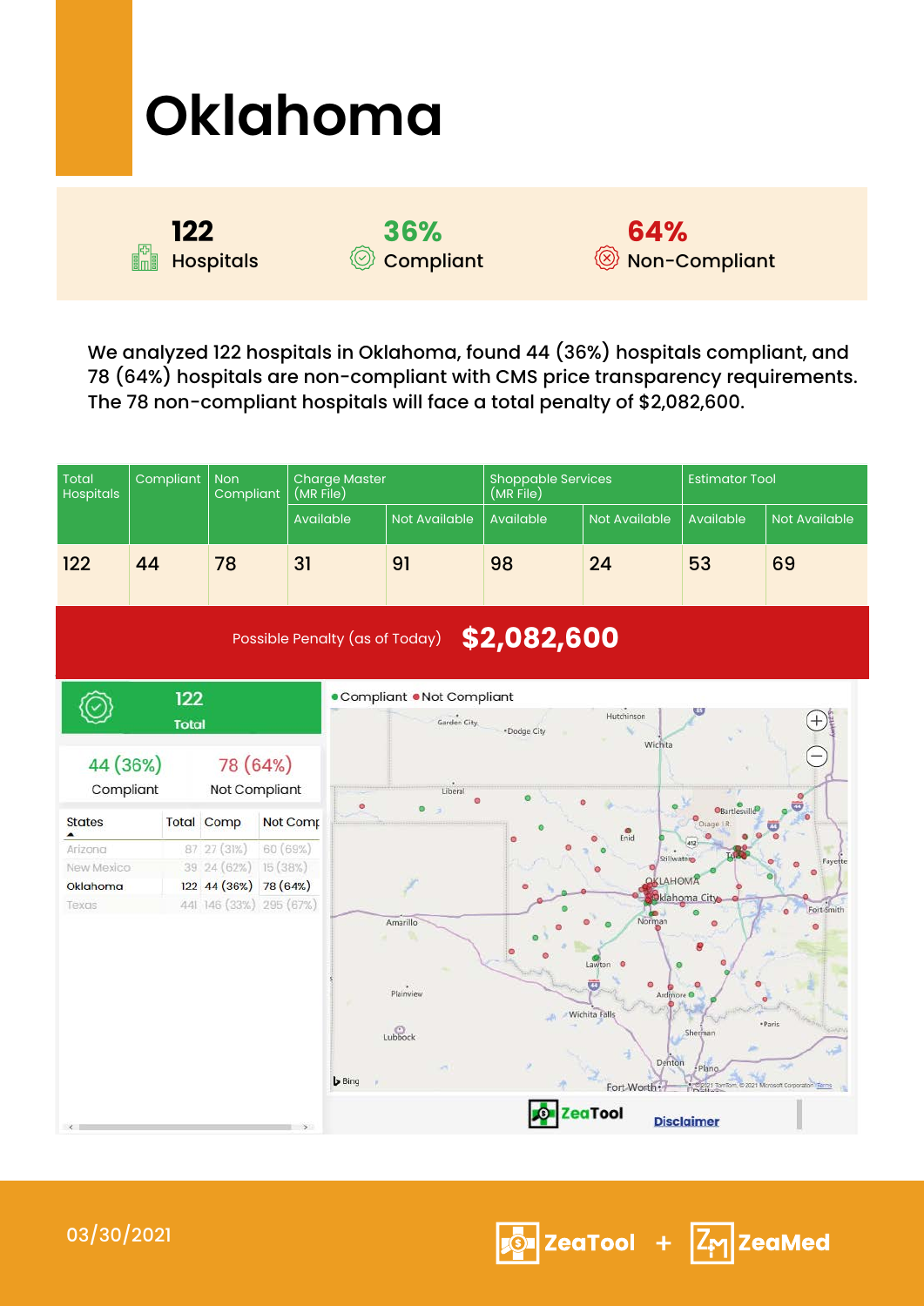| Oklahoma                |                    |                               |  |  |  |  |  |  |
|-------------------------|--------------------|-------------------------------|--|--|--|--|--|--|
| 122<br><b>Hospitals</b> | 36%<br>© Compliant | <b>64%</b><br>© Non-Compliant |  |  |  |  |  |  |

We analyzed 122 hospitals in Oklahoma, found 44 (36%) hospitals compliant, and 78 (64%) hospitals are non-compliant with CMS price transparency requirements. The 78 non-compliant hospitals will face a total penalty of \$2,082,600.

|                                  |                                                   |                         |           |                       |                                            | <b>Shoppable Services</b> |                                                                                        |                               |                          |
|----------------------------------|---------------------------------------------------|-------------------------|-----------|-----------------------|--------------------------------------------|---------------------------|----------------------------------------------------------------------------------------|-------------------------------|--------------------------|
| <b>Total</b><br><b>Hospitals</b> | Compliant<br><b>Non</b><br>(MR File)<br>Compliant |                         |           |                       | <b>Charge Master</b>                       |                           |                                                                                        | <b>Estimator Tool</b>         |                          |
|                                  |                                                   |                         | Available |                       | Not Available                              | Available                 | Not Available                                                                          | Available                     | <b>Not Available</b>     |
| 122                              | 44                                                | 78                      | 31        |                       | 91                                         | 98                        | 24                                                                                     | 53                            | 69                       |
|                                  |                                                   |                         |           |                       | Possible Penalty (as of Today) \$2,082,600 |                           |                                                                                        |                               |                          |
|                                  | 122                                               |                         |           |                       | • Compliant • Not Compliant                |                           |                                                                                        |                               |                          |
|                                  | <b>Total</b>                                      |                         |           |                       | Garden City                                | *Dodge City               | Hutchinson                                                                             |                               | $^+$                     |
| 44 (36%)                         |                                                   | 78 (64%)                |           |                       |                                            |                           | Wichita                                                                                |                               |                          |
|                                  |                                                   |                         |           |                       |                                            |                           |                                                                                        |                               |                          |
| Compliant                        |                                                   | Not Compliant           |           |                       | Liberal<br>o                               |                           |                                                                                        |                               |                          |
| <b>States</b><br>▴               |                                                   | <b>Total Comp</b>       | Not Comp  |                       |                                            |                           |                                                                                        |                               |                          |
| Arizona                          |                                                   | 87 27 (31%)             | 60 (69%)  |                       |                                            |                           | Enid                                                                                   | 412                           |                          |
| New Mexico                       |                                                   | 39 24 (62%)             | 15 (38%)  |                       |                                            |                           | Stillwater                                                                             |                               | Fayette<br>۵             |
| Oklahoma                         |                                                   | 122 44 (36%)            | 78 (64%)  |                       |                                            |                           | OKLAHOMA                                                                               |                               |                          |
| Texas                            |                                                   | 441 146 (33%) 295 (67%) |           |                       |                                            |                           |                                                                                        | <b>Oklahoma</b> City          | Fort Smith               |
|                                  |                                                   |                         |           |                       | Amarillo<br>Plainview                      |                           | Norman<br>Lawton<br>$\overline{\textbf{u}}$<br>$\bullet$<br>Ardmore O<br>Wichita Falls | ۰                             | · Paris                  |
|                                  |                                                   |                         |           | $\triangleright$ Bing | Lubbock                                    |                           | Denton<br>Fort-Worth                                                                   | Sherman<br>Plano<br>P2021 Tom | 2021 Montgott Comprating |
|                                  |                                                   |                         |           |                       |                                            |                           | eaTool                                                                                 | <b>Disclaimer</b>             |                          |

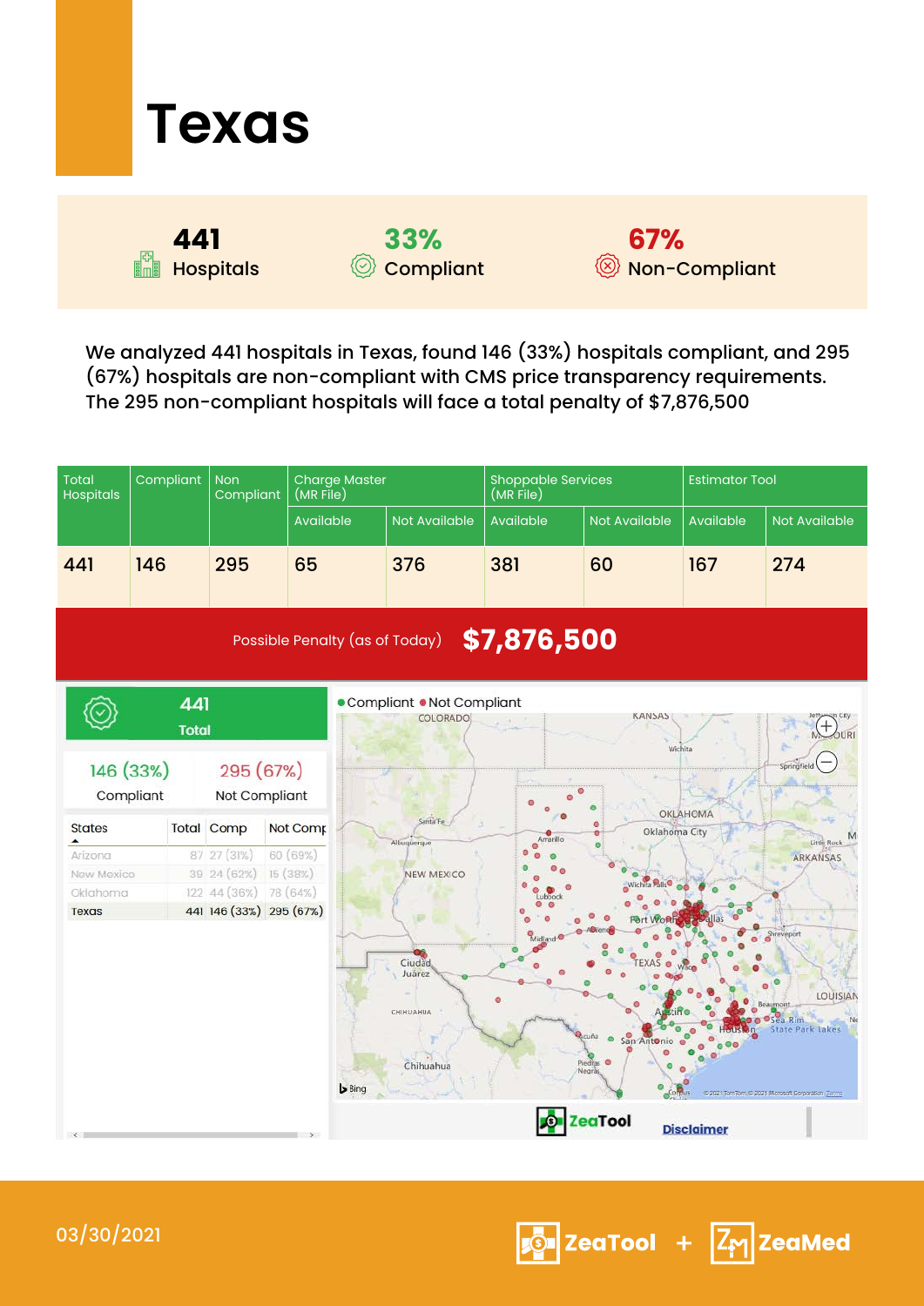| <b>Texas</b>                  |                    |                      |
|-------------------------------|--------------------|----------------------|
| 441<br>Hospitals<br>Fa<br>Imi | 33%<br>© Compliant | 67%<br>Non-Compliant |

We analyzed 441 hospitals in Texas, found 146 (33%) hospitals compliant, and 295 (67%) hospitals are non-compliant with CMS price transparency requirements. The 295 non-compliant hospitals will face a total penalty of \$7,876,500

| Compliant<br>Total<br><b>Non</b><br><b>Hospitals</b><br>Compliant<br>(MR File) |                     |                            |           | <b>Charge Master</b>  |                                                   | <b>Shoppable Services</b><br>$(MR \overline{File})$ |                                                                   | <b>Estimator Tool</b> |                                                                                                           |
|--------------------------------------------------------------------------------|---------------------|----------------------------|-----------|-----------------------|---------------------------------------------------|-----------------------------------------------------|-------------------------------------------------------------------|-----------------------|-----------------------------------------------------------------------------------------------------------|
|                                                                                |                     |                            | Available |                       | Not Available                                     | Available                                           | Not Available                                                     | Available             | <b>Not Available</b>                                                                                      |
| 441                                                                            | 146                 | 295                        | 65        |                       | 376                                               | 381                                                 | 60                                                                | 167                   | 274                                                                                                       |
|                                                                                |                     |                            |           |                       |                                                   | Possible Penalty (as of Today) \$7,876,500          |                                                                   |                       |                                                                                                           |
|                                                                                | 441<br><b>Total</b> |                            |           |                       | • Compliant • Not Compliant<br>COLORADO           |                                                     | <b>KANSAS</b><br>Wichita                                          |                       | $H_{\text{OURI}}$                                                                                         |
| 146 (33%)                                                                      | Compliant           | 295 (67%)<br>Not Compliant |           |                       |                                                   |                                                     |                                                                   |                       | Springfiel                                                                                                |
| <b>States</b>                                                                  |                     | <b>Total Comp</b>          | Not Comp  |                       | Santa <sup>1</sup><br>Albuquerque                 | Amarillo                                            | Oklahoma City                                                     | OKLAHOMA              | Little Rock                                                                                               |
| Arizona                                                                        |                     | 87 27 (31%)                | 60 (69%)  |                       |                                                   |                                                     |                                                                   |                       | ARKANSAS                                                                                                  |
| New Mexico                                                                     |                     | 39 24 (62%)                | 15 (38%)  |                       | <b>NEW MEXICO</b>                                 |                                                     | $\mathbf{E}$ <sub>d</sub>                                         |                       |                                                                                                           |
| Oklahoma                                                                       |                     | 122 44 (36%)               | 78 (64%)  |                       |                                                   |                                                     |                                                                   |                       |                                                                                                           |
| Texas                                                                          |                     | 441 146 (33%) 295 (67%)    |           |                       |                                                   |                                                     |                                                                   |                       |                                                                                                           |
|                                                                                |                     |                            |           | $\triangleright$ Bing | <b>Ciudad</b><br>Juárez<br>CHIHUAHUA<br>Chihuahua |                                                     | acuña<br>$\bullet$<br>San Anton<br>Piedras <sup>O</sup><br>Negras |                       | Shreveport<br>LOUISIAN<br>Rim<br><b>State Park Lakes</b><br>Tatt Tatt (C 2021 Microsoft Compration Tarth) |
|                                                                                |                     |                            |           |                       |                                                   |                                                     | eaTool                                                            | <b>Disclaimer</b>     |                                                                                                           |